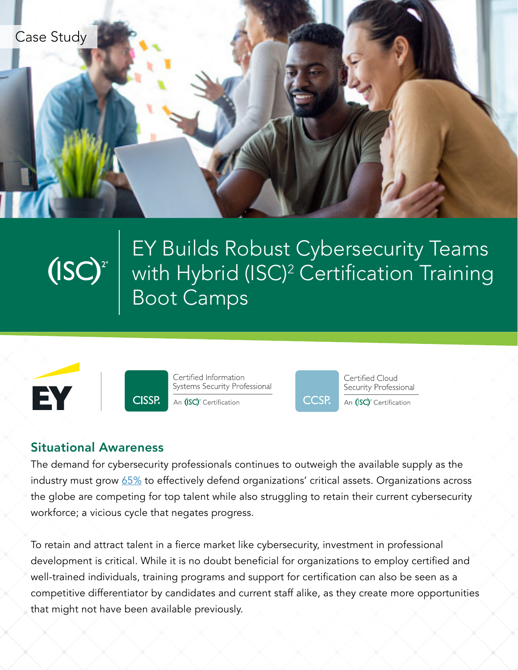



EY Builds Robust Cybersecurity Teams with Hybrid (ISC)2 Certification Training Boot Camps





Certified Information Systems Security Professional An (ISC)<sup>2</sup> Certification



Certified Cloud Security Professional An (ISC)<sup>2</sup> Certification

### Situational Awareness

The demand for cybersecurity professionals continues to outweigh the available supply as the industry must grow [65%](https://www.isc2.org/Research/Workforce-Study) to effectively defend organizations' critical assets. Organizations across the globe are competing for top talent while also struggling to retain their current cybersecurity workforce; a vicious cycle that negates progress.

To retain and attract talent in a fierce market like cybersecurity, investment in professional development is critical. While it is no doubt beneficial for organizations to employ certified and well-trained individuals, training programs and support for certification can also be seen as a competitive differentiator by candidates and current staff alike, as they create more opportunities that might not have been available previously.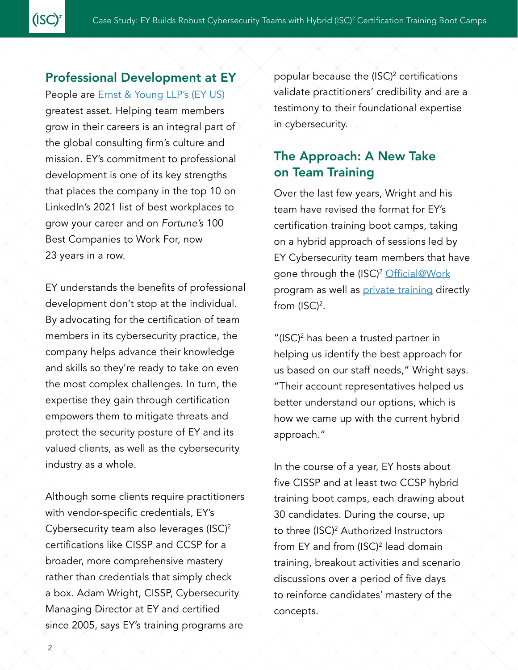### Professional Development at EY

 $(ISC)^2$ 

People are **[Ernst & Young LLP's \(EY US\)](https://www.ey.com/en_us)** greatest asset. Helping team members grow in their careers is an integral part of the global consulting firm's culture and mission. EY's commitment to professional development is one of its key strengths that places the company in the top 10 on LinkedIn's 2021 list of best workplaces to grow your career and on *Fortune's* 100 Best Companies to Work For, now 23 years in a row.

EY understands the benefits of professional development don't stop at the individual. By advocating for the certification of team members in its cybersecurity practice, the company helps advance their knowledge and skills so they're ready to take on even the most complex challenges. In turn, the expertise they gain through certification empowers them to mitigate threats and protect the security posture of EY and its valued clients, as well as the cybersecurity industry as a whole.

Although some clients require practitioners with vendor-specific credentials, EY's Cybersecurity team also leverages (ISC)2 certifications like CISSP and CCSP for a broader, more comprehensive mastery rather than credentials that simply check a box. Adam Wright, CISSP, Cybersecurity Managing Director at EY and certified since 2005, says EY's training programs are

popular because the  $(ISC)^2$  certifications validate practitioners' credibility and are a testimony to their foundational expertise in cybersecurity.

# The Approach: A New Take on Team Training

Over the last few years, Wright and his team have revised the format for EY's certification training boot camps, taking on a hybrid approach of sessions led by EY Cybersecurity team members that have gone through the (ISC)<sup>2</sup> [Official@Work](https://cloud.connect.isc2.org/train-the-trainer) program as well as *private training* directly from (ISC)<sup>2</sup>.

"(ISC)2 has been a trusted partner in helping us identify the best approach for us based on our staff needs," Wright says. "Their account representatives helped us better understand our options, which is how we came up with the current hybrid approach."

In the course of a year, EY hosts about five CISSP and at least two CCSP hybrid training boot camps, each drawing about 30 candidates. During the course, up to three (ISC)<sup>2</sup> Authorized Instructors from EY and from (ISC)2 lead domain training, breakout activities and scenario discussions over a period of five days to reinforce candidates' mastery of the concepts.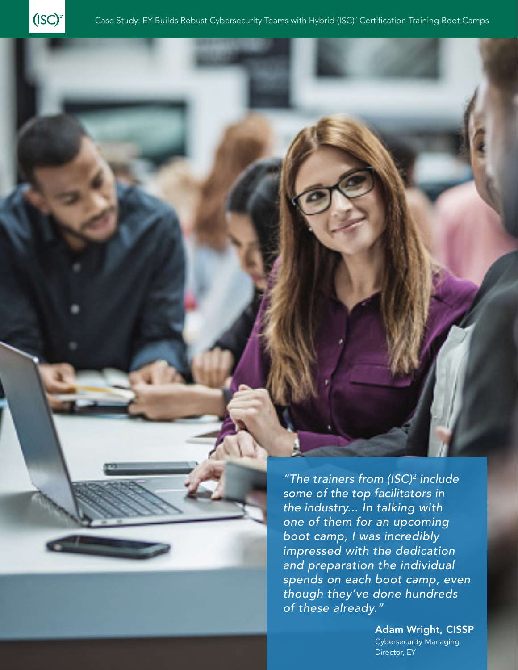

*"The trainers from (ISC)2 include some of the top facilitators in the industry... In talking with one of them for an upcoming boot camp, I was incredibly impressed with the dedication and preparation the individual spends on each boot camp, even though they've done hundreds of these already."*

> Adam Wright, CISSP Cybersecurity Managing Director, EY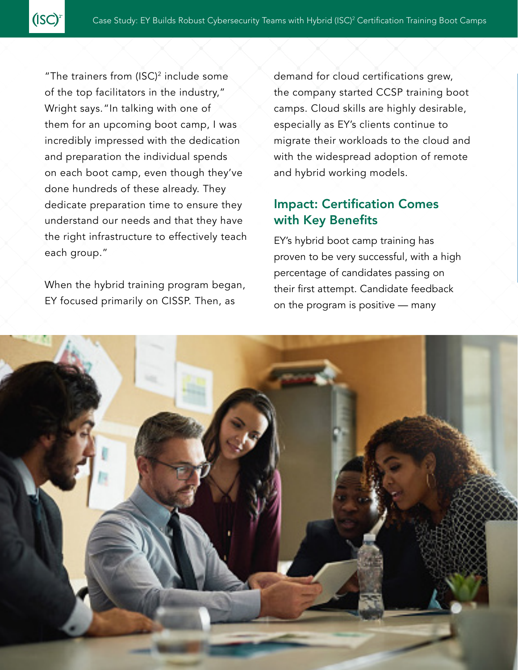"The trainers from  $(ISC)^2$  include some of the top facilitators in the industry," Wright says."In talking with one of them for an upcoming boot camp, I was incredibly impressed with the dedication and preparation the individual spends on each boot camp, even though they've done hundreds of these already. They dedicate preparation time to ensure they understand our needs and that they have the right infrastructure to effectively teach each group."

(ISC)

When the hybrid training program began, EY focused primarily on CISSP. Then, as

demand for cloud certifications grew, the company started CCSP training boot camps. Cloud skills are highly desirable, especially as EY's clients continue to migrate their workloads to the cloud and with the widespread adoption of remote and hybrid working models.

### Impact: Certification Comes with Key Benefits

EY's hybrid boot camp training has proven to be very successful, with a high percentage of candidates passing on their first attempt. Candidate feedback on the program is positive — many

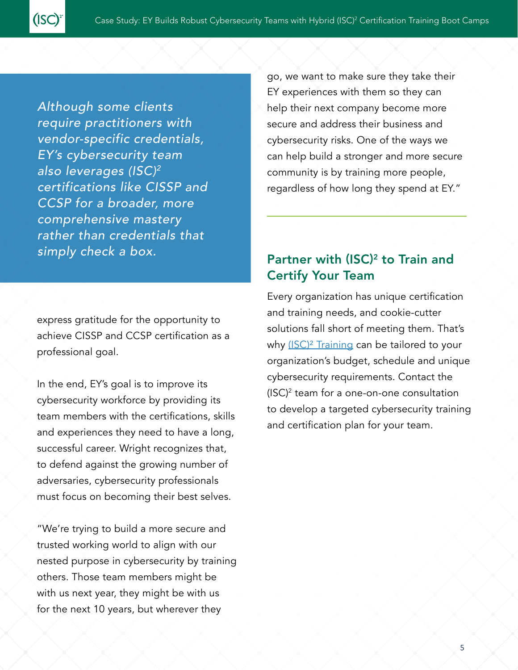*Although some clients require practitioners with vendor-specific credentials, EY's cybersecurity team also leverages (ISC)2 certifications like CISSP and CCSP for a broader, more comprehensive mastery rather than credentials that simply check a box.*

(ISC)

express gratitude for the opportunity to achieve CISSP and CCSP certification as a professional goal.

In the end, EY's goal is to improve its cybersecurity workforce by providing its team members with the certifications, skills and experiences they need to have a long, successful career. Wright recognizes that, to defend against the growing number of adversaries, cybersecurity professionals must focus on becoming their best selves.

"We're trying to build a more secure and trusted working world to align with our nested purpose in cybersecurity by training others. Those team members might be with us next year, they might be with us for the next 10 years, but wherever they

go, we want to make sure they take their EY experiences with them so they can help their next company become more secure and address their business and cybersecurity risks. One of the ways we can help build a stronger and more secure community is by training more people, regardless of how long they spend at EY."

# Partner with (ISC)<sup>2</sup> to Train and Certify Your Team

Every organization has unique certification and training needs, and cookie-cutter solutions fall short of meeting them. That's why (ISC)<sup>2</sup> Training can be tailored to your organization's budget, schedule and unique cybersecurity requirements. Contact the (ISC)2 team for a one-on-one consultation to develop a targeted cybersecurity training and certification plan for your team.